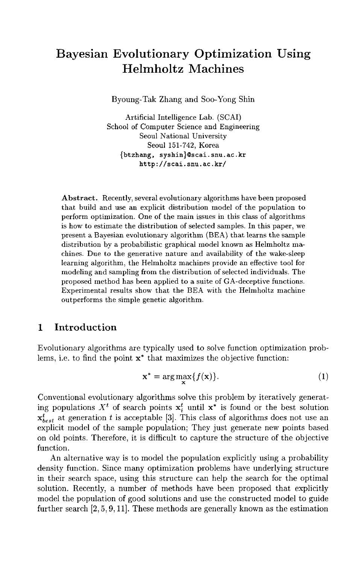# Bayesian Evolutionary Optimization Using Helmholtz Machines

Byoung-Tak Zhang and Soo-Yong Shin

Artificial Intelligence Lab. (SCAI) School of Computer Science and Engineering Seoul National University-Seoul 151-742, Korea {btzhcing, syshin}@scai.snu.ac.kr http : //s cai. snu. ac. kr/

Abstract. Recently, several evolutionary algorithms have been proposed that build and use an explicit distribution model of the population to perform optimization. One of the main issues in this class of algorithms is how to estimate the distribution of selected samples. In this paper, we present a Bayesian evolutionary algorithm (BEA) that learns the sample distribution by a probabilistic graphical model known as Helmholtz machines. Due to the generative nature and availability of the wake-sleep learning algorithm, the Helmholtz machines provide an effective tool for modeling and sampling from the distribution of selected individuals. The proposed method has been applied to a suite of GA-deceptive functions. Experimental results show that the BEA with the Helmholtz machine outperforms the simple genetic algorithm.

### 1 Introduction

Evolutionary algorithms are typically used to solve function optimization problems, i.e. to find the point  $x^*$  that maximizes the objective function:

$$
\mathbf{x}^* = \arg\max_{\mathbf{x}} \{f(\mathbf{x})\}.
$$
 (1)

Conventional evolutionary algorithms solve this problem by iteratively generating populations  $X<sup>t</sup>$  of search points  $x<sup>t</sup>$  until  $x<sup>*</sup>$  is found or the best solution  $\mathbf{x}^t_{best}$  at generation t is acceptable [3]. This class of algorithms does not use an explicit model of the sample population; They just generate new points based on old points. Therefore, it is difficult to capture the structure of the objective function.

An alternative way is to model the population explicitly using a probability density function. Since many optimization problems have underlying structure in their search space, using this structure can help the search for the optimal solution. Recently, a number of methods have been proposed that explicitly model the population of good solutions and use the constructed model to guide further search [2,5,9,11]. These methods are generally known as the estimation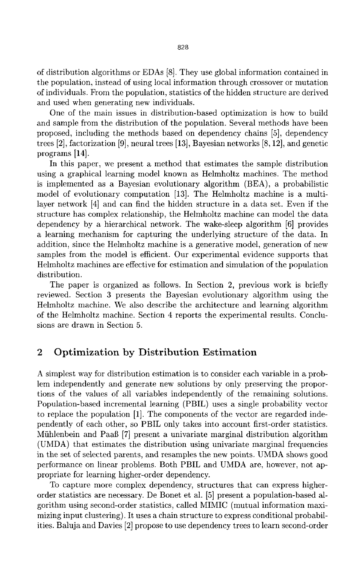of distribution algorithms or ED As [8]. They use global information contained in the population, instead of using local information through crossover or mutation of individuals. From the population, statistics of the hidden structure are derived and used when generating new individuals.

One of the main issues in distribution-based optimization is how to build and sample from the distribution of the population. Several methods have been proposed, including the methods based on dependency chains [5], dependency trees [2], factorization [9], neural trees [13], Bayesian networks [8,12], and genetic programs [14].

In this paper, we present a method that estimates the sample distribution using a graphical learning model known as Helmholtz machines. The method is implemented as a Bayesian evolutionary algorithm (BEA), a probabilistic model of evolutionary computation [13]. The Helmholtz machine is a multilayer network [4] and can find the hidden structure in a data set. Even if the structure has complex relationship, the Helmholtz machine can model the data dependency by a hierarchical network. The wake-sleep algorithm [6] provides a learning mechanism for capturing the underlying structure of the data. In addition, since the Helmholtz machine is a generative model, generation of new samples from the model is efficient. Our experimental evidence supports that Helmholtz machines are effective for estimation and simulation of the population distribution.

The paper is organized as follows. In Section 2, previous work is briefly reviewed. Section 3 presents the Bayesian evolutionary algorithm using the Helmholtz machine. We also describe the architecture and learning algorithm of the Helmholtz machine. Section 4 reports the experimental results. Conclusions are drawn in Section 5.

### 2 Optimization by Distribution Estimation

A simplest way for distribution estimation is to consider each variable in a problem independently and generate new solutions by only preserving the proportions of the values of all variables independently of the remaining solutions. Population-based incremental learning (PBIL) uses a single probability vector to replace the population [1]. The components of the vector are regarded independently of each other, so PBIL only takes into account first-order statistics. Mühlenbein and Paaß [7] present a univariate marginal distribution algorithm (UMDA) that estimates the distribution using univariate marginal frequencies in the set of selected parents, and resamples the new points. UMDA shows good performance on linear problems. Both PBIL and UMDA are, however, not appropriate for learning higher-order dependency.

To capture more complex dependency, structures that can express higherorder statistics are necessary. De Bonet et al. [5] present a population-based algorithm using second-order statistics, called MIMIC (mutual information maximizing input clustering). It uses a chain structure to express conditional probabilities. Baluja and Davies [2] propose to use dependency trees to learn second-order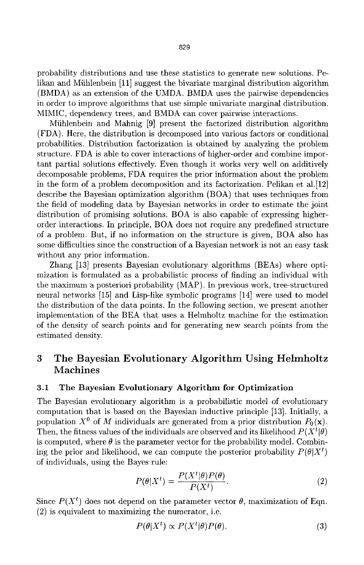probability distributions and use these statistics to generate new solutions. Pelikan and Miihlenbein [11] suggest the bivariate marginal distribution algorithm (BMDA) as an extension of the UMDA. BMDA uses the pairwise dependencies in order to improve algorithms that use simple univariate marginal distribution. MIMIC, dependency trees, and BMDA can cover pairwise interactions.

Miihlenbein and Mahnig [9] present the factorized distribution algorithm (FDA). Here, the distribution is decomposed into various factors or conditional probabilities. Distribution factorization is obtained by analyzing the problem structure. FDA is able to cover interactions of higher-order and combine important partial solutions effectively. Even though it works very well on additively decomposable problems, FDA requires the prior information about the problem in the form of a problem decomposition and its factorization. Pelikan et al.[12] describe the Bayesian optimization algorithm (BOA) that uses techniques from the field of modeling data by Bayesian networks in order to estimate the joint distribution of promising solutions. BOA is also capable of expressing higherorder interactions. In principle, BOA does not require any predefined structure of a problem. But, if no information on the structure is given, BOA also has some difficulties since the construction of a Bayesian network is not an easy task without any prior information.

Zhang [13] presents Bayesian evolutionary algorithms (BEAs) where optimization is formulated as a probabihstic process of finding an individual with the maximum a posteriori probability (MAP). In previous work, tree-structured neural networks [15] and Lisp-like symbolic programs [14] were used to model the distribution of the data points. In the following section, we present another implementation of the BEA that uses a Helmholtz machine for the estimation of the density of search points and for generating new search points from the estimated density.

## 3 The Bayesian Evolutionary Algorithm Using Helmholtz Machines

#### **3.1 The Bayesian Evolutionary Algorithm for Optimization**

The Bayesian evolutionary algorithm is a probabilistic model of evolutionary computation that is based on the Bayesian inductive principle [13]. Initially, a population  $X^0$  of M individuals are generated from a prior distribution  $P_0(\mathbf{x})$ . Then, the fitness values of the individuals are observed and its likelihood  $P(X^t|\theta)$ is computed, where  $\theta$  is the parameter vector for the probability model. Combining the prior and likelihood, we can compute the posterior probability  $P(\theta|X^t)$ of individuals, using the Bayes rule:

$$
P(\theta|X^t) = \frac{P(X^t|\theta)P(\theta)}{P(X^t)}.
$$
\n(2)

Since  $P(X^t)$  does not depend on the parameter vector  $\theta$ , maximization of Eqn. (2) is equivalent to maximizing the numerator, i.e.

$$
P(\theta|X^t) \propto P(X^t|\theta)P(\theta). \tag{3}
$$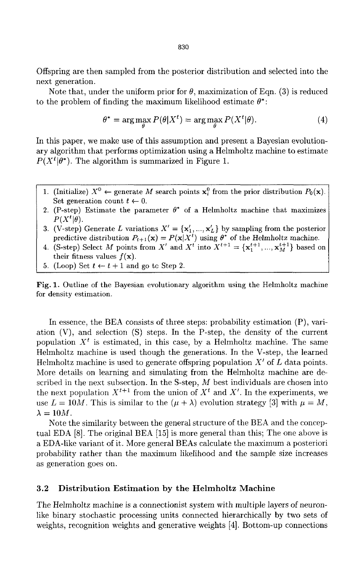Offspring are then sampled from tfie posterior distribution and selected into the next generation.

Note that, under the uniform prior for  $\theta$ , maximization of Eqn. (3) is reduced to the problem of finding the maximum likelihood estimate  $\theta^*$ :

$$
\theta^* = \arg\max_{\theta} P(\theta|X^t) = \arg\max_{\theta} P(X^t|\theta). \tag{4}
$$

In this paper, we make use of this assumption and present a Bayesian evolutionary algorithm that performs optimization using a Helmholtz machine to estimate  $P(X^t|\theta^*)$ . The algorithm is summarized in Figure 1.

- 1. (Initialize)  $X^0$   $\leftarrow$  generate *M* search points  $\mathbf{x}_i^0$  from the prior distribution  $P_0(\mathbf{x})$ . Set generation count  $t \leftarrow 0$ .
- 2. (P-step) Estimate the parameter  $\theta^*$  of a Helmholtz machine that maximizes  $P(X^t|\theta)$ .
- 3. (V-step) Generate *L* variations  $X' = \{x'_1, ..., x'_L\}$  by sampling from the posterior predictive distribution  $P_{t+1}(\mathbf{x}) = P(\mathbf{x}|X^t)$  using  $\theta^*$  of the Helmholtz machine.
- 4. (S-step) Select M points from X' and  $X^t$  into  $X^{t+1} = \{x_1^{t+1},...,x_M^{t+1}\}$  based on their fitness values  $f(\mathbf{x})$ .
- 5. (Loop) Set  $t \leftarrow t + 1$  and go to Step 2.

Fig. 1. Outline of the Bayesian evolutionary algorithm using the Helmholtz machine for density estimation.

In essence, the BEA consists of three steps: probability estimation (P), variation (V), and selection (S) steps. In the P-step, the density of the current population  $X<sup>t</sup>$  is estimated, in this case, by a Helmholtz machine. The same Helmholtz machine is used though the generations. In the V-step, the learned Helmholtz machine is used to generate offspring population *X'* of *L* data points. More details on learning and simulating from the Helmholtz machine are described in the next subsection. In the S-step, *M* best individuals are chosen into the next population  $X^{t+1}$  from the union of  $X^t$  and  $X'$ . In the experiments, we use  $L = 10M$ . This is similar to the  $(\mu + \lambda)$  evolution strategy [3] with  $\mu = M$ ,  $\lambda = 10M$ .

Note the similarity between the general structure of the BEA and the conceptual EDA [8]. The original BEA [15] is more general than this; The one above is a EDA-like variant of it. More general BE As calculate the maximum a posteriori probabihty rather than the maximum likelihood and the sample size increases as generation goes on.

#### **3.2 Distribution Estimation by th e Helmholt z Machine**

The Helmholtz machine is a connectionist system with multiple layers of neuronlike binary stochastic processing units connected hierarchically by two sets of weights, recognition weights and generative weights [4]. Bottom-up connections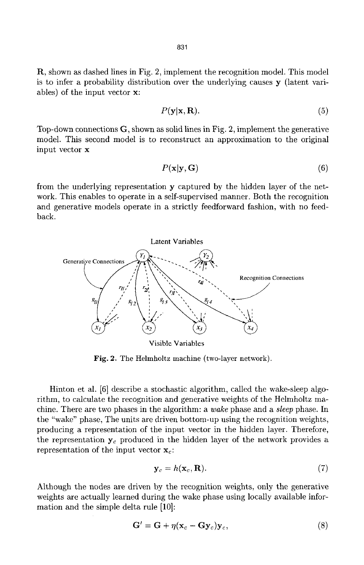$R$ , shown as dashed lines in Fig. 2, implement the recognition model. This model is to infer a probability distribution over the underlying causes y (latent variables) of the input vector x:

$$
P(\mathbf{y}|\mathbf{x}, \mathbf{R}).\tag{5}
$$

Top-down connections  $G$ , shown as solid lines in Fig. 2, implement the generative model. This second model is to reconstruct an approximation to the original input vector x

$$
P(\mathbf{x}|\mathbf{y},\mathbf{G})\tag{6}
$$

from the underlying representation y captured by the hidden layer of the network. This enables to operate in a self-supervised manner. Both the recognition and generative models operate in a strictly feedforward fashion, with no feedback.



Fig. 2. The Helmholtz machine (two-layer network).

Hinton et al. [6] describe a stochastic algorithm, called the wake-sleep algorithm, to calculate the recognition and generative weights of the Helmholtz machine. There are two phases in the algorithm: a *wake* phase and a *sleep* phase. In the "wake" phase. The units are driven bottom-up using the recognition weights, producing a representation of the input vector in the hidden layer. Therefore, the representation  $y_c$  produced in the hidden layer of the network provides a representation of the input vector  $\mathbf{x}_c$ .

$$
\mathbf{y}_c = h(\mathbf{x}_c, \mathbf{R}).\tag{7}
$$

Although the nodes are driven by the recognition weights, only the generative weights are actually learned during the wake phase using locally available information and the simple delta rule [10]:

$$
\mathbf{G}' = \mathbf{G} + \eta (\mathbf{x}_c - \mathbf{G} \mathbf{y}_c) \mathbf{y}_c,\tag{8}
$$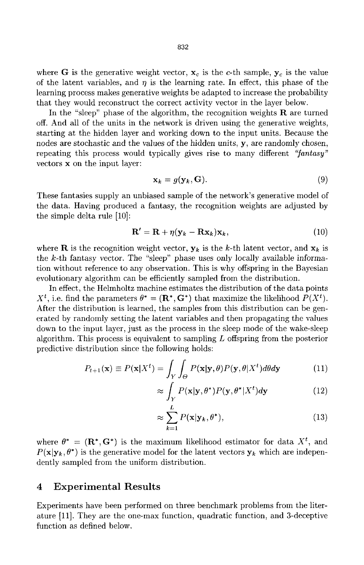where **G** is the generative weight vector,  $x_c$  is the c-th sample,  $y_c$  is the value of the latent variables, and  $\eta$  is the learning rate. In effect, this phase of the learning process makes generative weights be adapted to increase the probability that they would reconstruct the correct activity vector in the layer below.

In the "sleep" phase of the algorithm, the recognition weights  **are turned** off. And all of the units in the network is driven using the generative weights, starting at the hidden layer and working down to the input units. Because the nodes are stochastic and the values of the hidden units, y, are randomly chosen, repeating this process would typically gives rise to many different *"fantasy"*  vectors x on the input layer:

$$
\mathbf{x}_k = g(\mathbf{y}_k, \mathbf{G}).\tag{9}
$$

These fantasies supply an unbiased sample of the network's generative model of the data. Having produced a fantasy, the recognition weights are adjusted by the simple delta rule [10]:

$$
\mathbf{R}' = \mathbf{R} + \eta(\mathbf{y}_k - \mathbf{R}\mathbf{x}_k)\mathbf{x}_k, \tag{10}
$$

where **R** is the recognition weight vector,  $y_k$  is the k-th latent vector, and  $x_k$  is the  $k$ -th fantasy vector. The "sleep" phase uses only locally available information without reference to any observation. This is why offspring in the Bayesian evolutionary algorithm can be efficiently sampled from the distribution.

In effect, the Helmholtz machine estimates the distribution of the data points  $X^t$ , i.e. find the parameters  $\theta^* = (\mathbf{R}^*, \mathbf{G}^*)$  that maximize the likelihood  $P(X^t)$ . After the distribution is learned, the samples from this distribution can be generated by randomly setting the latent variables and then propagating the values down to the input layer, just as the process in the sleep mode of the wake-sleep algorithm. This process is equivalent to sampling *L* offspring from the posterior predictive distribution since the following holds:

$$
P_{t+1}(\mathbf{x}) \equiv P(\mathbf{x}|X^t) = \int_Y \int_{\Theta} P(\mathbf{x}|\mathbf{y}, \theta) P(\mathbf{y}, \theta | X^t) d\theta d\mathbf{y}
$$
(11)

$$
\approx \int_{Y} P(\mathbf{x}|\mathbf{y}, \theta^*) P(\mathbf{y}, \theta^*|X^t) d\mathbf{y}
$$
 (12)

$$
\approx \sum_{k=1}^{L} P(\mathbf{x}|\mathbf{y}_k, \theta^*), \tag{13}
$$

where  $\theta^* = (\mathbf{R}^*, \mathbf{G}^*)$  is the maximum likelihood estimator for data  $X^t$ , and  $P(\mathbf{x}|\mathbf{y}_k,\theta^*)$  is the generative model for the latent vectors  $\mathbf{y}_k$  which are independently sampled from the uniform distribution.

### 4 Experimental Results

Experiments have been performed on three benchmark problems from the literature [11]. They are the one-max function, quadratic function, and 3-deceptive function as defined below.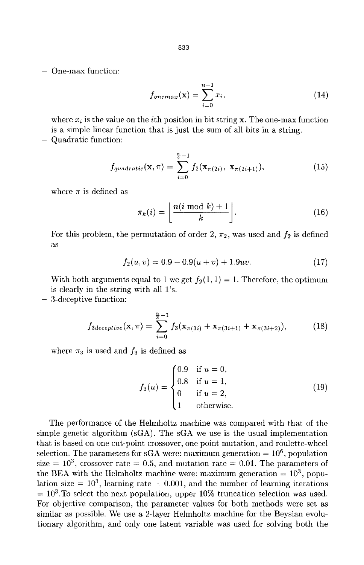— One-max function:

$$
f_{onemax}(\mathbf{x}) = \sum_{i=0}^{n-1} x_i,
$$
\n(14)

where  $x_i$  is the value on the *i*<sup>th</sup> position in bit string  $x$ . The one-max function is a simple linear function that is just the sum of all bits in a string.

— Quadratic function:

$$
f_{quadratic}(\mathbf{x}, \pi) = \sum_{i=0}^{\frac{n}{2}-1} f_2(\mathbf{x}_{\pi(2i)}, \ \mathbf{x}_{\pi(2i+1)}), \tag{15}
$$

where  $\pi$  is defined as

$$
\pi_k(i) = \left\lfloor \frac{n(i \bmod k) + 1}{k} \right\rfloor. \tag{16}
$$

For this problem, the permutation of order 2,  $\pi_2$ , was used and  $f_2$  is defined as

$$
f_2(u, v) = 0.9 - 0.9(u + v) + 1.9uv.
$$
 (17)

With both arguments equal to 1 we get  $f_2(1,1) = 1$ . Therefore, the optimum is clearly in the string with all I's.

3-deceptive function:

$$
f_{3\text{deceptive}}(\mathbf{x},\pi) = \sum_{i=0}^{\frac{n}{3}-1} f_3(\mathbf{x}_{\pi(3i)} + \mathbf{x}_{\pi(3i+1)} + \mathbf{x}_{\pi(3i+2)}), \tag{18}
$$

where  $\pi_3$  is used and  $f_3$  is defined as

$$
f_3(u) = \begin{cases} 0.9 & \text{if } u = 0, \\ 0.8 & \text{if } u = 1, \\ 0 & \text{if } u = 2, \\ 1 & \text{otherwise.} \end{cases}
$$
 (19)

The performance of the Helmholtz machine was compared with that of the simple genetic algorithm ( $sGA$ ). The  $sGA$  we use is the usual implementation that is based on one cut-point crossover, one point mutation, and roulette-wheel selection. The parameters for sGA were: maximum generation  $= 10^6$ , population size  $= 10^3$ , crossover rate  $= 0.5$ , and mutation rate  $= 0.01$ . The parameters of the BEA with the Helmholtz machine were: maximum generation  $= 10^3$ , population size =  $10^3$ , learning rate = 0.001, and the number of learning iterations  $= 10<sup>3</sup>$ . To select the next population, upper 10% truncation selection was used. For objective comparison, the parameter values for both methods were set as similar as possible. We use a 2-layer Helmholtz machine for the Beysian evolutionary algorithm, and only one latent variable was used for solving both the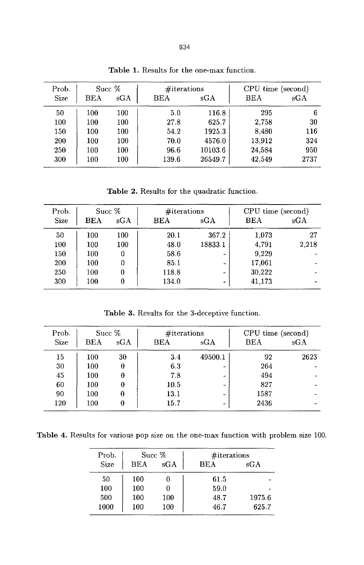| Prob.       | Succ %     |     | #iterations  |         | CPU time (second) |      |
|-------------|------------|-----|--------------|---------|-------------------|------|
| <b>Size</b> | <b>BEA</b> | sGA | $_{\rm BEA}$ | sGA     | <b>BEA</b>        | sGA  |
| 50          | 100        | 100 | 5.0          | 116.8   | 295               | 6    |
| 100         | 100        | 100 | 27.8         | 625.7   | 2,758             | 30   |
| 150         | 100        | 100 | 54.2         | 1925.3  | 8,480             | 116  |
| 200         | 100        | 100 | 70.0         | 4576.0  | 13,912            | 324  |
| 250         | 100        | 100 | 96.6         | 10103.6 | 24,584            | 950  |
| 300         | 100        | 100 | 139.6        | 26549.7 | 42,549            | 2737 |

**Table 1.** Results for the one-max function.

**Table 2.** Results for the quadratic function.

| Prob.       | Succ $%$ |     | #iterations |                          | CPU time (second) |              |
|-------------|----------|-----|-------------|--------------------------|-------------------|--------------|
| <b>Size</b> | BEA      | sGA | <b>BEA</b>  | $_{\rm sGA}$             | <b>BEA</b>        | $_{\rm sGA}$ |
| 50          | 100      | 100 | 20.1        | 367.2                    | 1,073             | 27           |
| 100         | 100      | 100 | 48.0        | 18833.1                  | 4,791             | 2,218        |
| 150         | $100\,$  | 0   | 58.6        |                          | 9,229             |              |
| 200         | $100\,$  | O   | 85.1        | ٠                        | 17,061            |              |
| 250         | 100      |     | 118.8       | -                        | 30,222            |              |
| 300         | 100      |     | 134.0       | $\overline{\phantom{0}}$ | 41,173            |              |

**Table 3.** Results for the 3-deceptive function.

| Prob.       | Succ $%$ |     | #iterations |                          | CPU time (second) |              |
|-------------|----------|-----|-------------|--------------------------|-------------------|--------------|
| <b>Size</b> | BEA      | sGA | <b>BEA</b>  | sGA                      | <b>BEA</b>        | $_{\rm sGA}$ |
| 15          | 100      | 30  | $3.4\,$     | 49500.1                  | 92                | 2623         |
| 30          | 100      | 0   | 6.3         |                          | 264               |              |
| 45          | 100      |     | 7.8         |                          | 494               |              |
| 60          | 100      |     | 10.5        |                          | 827               |              |
| 90          | 100      | 0   | 13.1        |                          | 1587              |              |
| 120         | 100      | 0   | 15.7        | $\overline{\phantom{0}}$ | 2436              |              |

**Table** 4. Results for various pop size on the one-max function with problem size 100.

| Prob.       | Succ $%$ |     | #iterations |        |  |
|-------------|----------|-----|-------------|--------|--|
| <b>Size</b> | BEA      | sGA | BEA         | sGA    |  |
| 50          | 100      |     | 61.5        |        |  |
| 100         | 100      |     | 59.0        |        |  |
| 500         | 100      | 100 | 48.7        | 1975.6 |  |
| 1000        | 100      | 100 | 46.7        | 625.7  |  |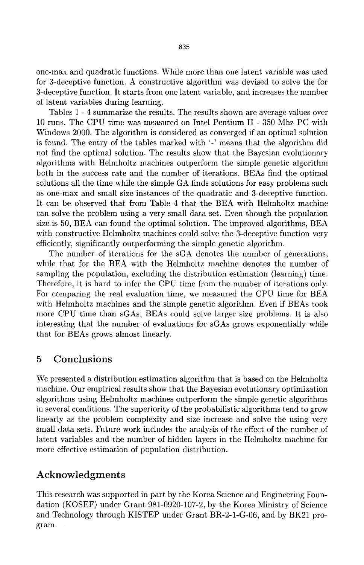one-max and quadratic functions. While more than one latent variable was used for 3-deceptive function. A constructive algorithm was devised to solve the for 3-deceptive function. It starts from one latent variable, and increases the number of latent variables during learning.

Tables 1-4 summarize the results. The results shown are average values over 10 runs. The CPU time was measured on Intel Pentium II - 350 Mhz PC with Windows 2000. The algorithm is considered as converged if an optimal solution is found. The entry of the tables marked with '-' means that the algorithm did not find the optimal solution. The results show that the Bayesian evolutionary algorithms with Helmholtz machines outperform the simple genetic algorithm both in the success rate and the number of iterations. BEAs find the optimal solutions all the time while the simple GA finds solutions for easy problems such as one-max and small size instances of the quadratic and 3-deceptive function. It can be observed that from Table 4 that the BEA with Helmholtz machine can solve the problem using a very small data set. Even though the population size is 50, BEA can found the optimal solution. The improved algorithms, BEA with constructive Helmholtz machines could solve the 3-deceptive function very efficiently, significantly outperforming the simple genetic algorithm.

The number of iterations for the sGA denotes the number of generations, while that for the BEA with the Helmholtz machine denotes the number of sampling the population, excluding the distribution estimation (learning) time. Therefore, it is hard to infer the CPU time from the number of iterations only. For comparing the real evaluation time, we measured the CPU time for BEA with Helmholtz machines and the simple genetic algorithm. Even if BEAs took more CPU time than sGAs, BEAs could solve larger size problems. It is also interesting that the number of evaluations for sGAs grows exponentially while that for BEAs grows almost linearly.

### 5 Conclusions

We presented a distribution estimation algorithm that is based on the Helmholtz machine. Our empirical results show that the Bayesian evolutionary optimization algorithms using Helmholtz machines outperform the simple genetic algorithms in several conditions. The superiority of the probabilistic algorithms tend to grow linearly as the problem complexity and size increase and solve the using very small data sets. Future work includes the analysis of the effect of the number of latent variables and the number of hidden layers in the Helmholtz machine for more effective estimation of population distribution.

# Acknowledgments

This research was supported in part by the Korea Science and Engineering Foundation (KOSEF) under Grant 981-0920-107-2, by the Korea Ministry of Science and Technology through KISTEP under Grant BR-2-1-G-06, and by BK21 program.